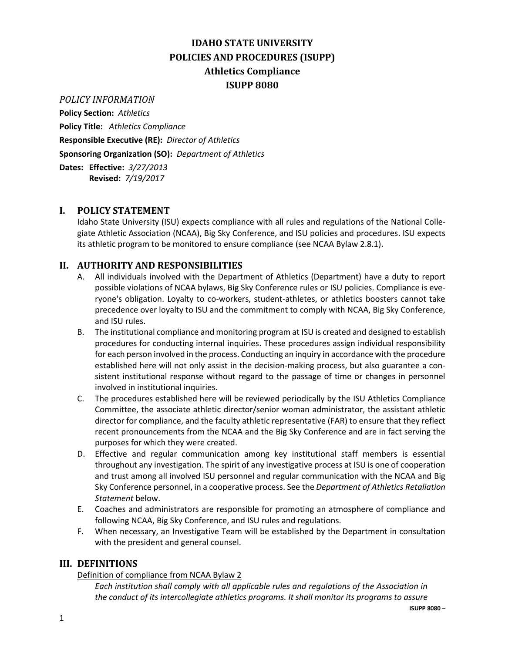# **IDAHO STATE UNIVERSITY POLICIES AND PROCEDURES (ISUPP) Athletics Compliance ISUPP 8080**

*POLICY INFORMATION*

**Policy Section:** *Athletics* **Policy Title:** *Athletics Compliance* **Responsible Executive (RE):** *Director of Athletics* **Sponsoring Organization (SO):** *Department of Athletics* **Dates: Effective:** *3/27/2013*

**Revised:** *7/19/2017*

### **I. POLICY STATEMENT**

Idaho State University (ISU) expects compliance with all rules and regulations of the National Collegiate Athletic Association (NCAA), Big Sky Conference, and ISU policies and procedures. ISU expects its athletic program to be monitored to ensure compliance (see NCAA Bylaw 2.8.1).

# **II. AUTHORITY AND RESPONSIBILITIES**

- A. All individuals involved with the Department of Athletics (Department) have a duty to report possible violations of NCAA bylaws, Big Sky Conference rules or ISU policies. Compliance is everyone's obligation. Loyalty to co-workers, student-athletes, or athletics boosters cannot take precedence over loyalty to ISU and the commitment to comply with NCAA, Big Sky Conference, and ISU rules.
- B. The institutional compliance and monitoring program at ISU is created and designed to establish procedures for conducting internal inquiries. These procedures assign individual responsibility for each person involved in the process. Conducting an inquiry in accordance with the procedure established here will not only assist in the decision-making process, but also guarantee a consistent institutional response without regard to the passage of time or changes in personnel involved in institutional inquiries.
- C. The procedures established here will be reviewed periodically by the ISU Athletics Compliance Committee, the associate athletic director/senior woman administrator, the assistant athletic director for compliance, and the faculty athletic representative (FAR) to ensure that they reflect recent pronouncements from the NCAA and the Big Sky Conference and are in fact serving the purposes for which they were created.
- D. Effective and regular communication among key institutional staff members is essential throughout any investigation. The spirit of any investigative process at ISU is one of cooperation and trust among all involved ISU personnel and regular communication with the NCAA and Big Sky Conference personnel, in a cooperative process. See the *Department of Athletics Retaliation Statement* below.
- E. Coaches and administrators are responsible for promoting an atmosphere of compliance and following NCAA, Big Sky Conference, and ISU rules and regulations.
- F. When necessary, an Investigative Team will be established by the Department in consultation with the president and general counsel.

### **III. DEFINITIONS**

Definition of compliance from NCAA Bylaw 2

*Each institution shall comply with all applicable rules and regulations of the Association in the conduct of its intercollegiate athletics programs. It shall monitor its programs to assure*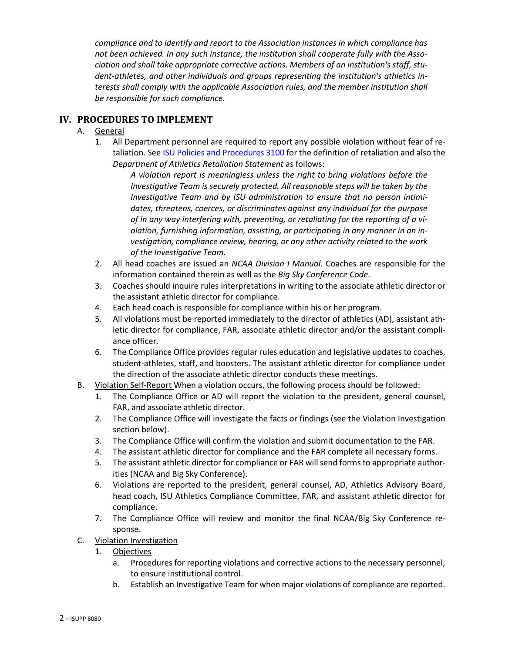*compliance and to identify and report to the Association instances in which compliance has not been achieved. In any such instance, the institution shall cooperate fully with the Association and shall take appropriate corrective actions. Members of an institution's staff, student-athletes, and other individuals and groups representing the institution's athletics interests shall comply with the applicable Association rules, and the member institution shall be responsible for such compliance.*

## **IV. PROCEDURES TO IMPLEMENT**

- A. General
	- 1. All Department personnel are required to report any possible violation without fear of retaliation. See [ISU Policies and Procedures 3100](https://www.isu.edu/media/libraries/isu-policies-and-procedures/governancex2flegal/Non-Discrimination-and-Anti-Harassment-policy-ISUPP-3100.pdf) for the definition of retaliation and also the *Department of Athletics Retaliation Statement* as follows:

*A violation report is meaningless unless the right to bring violations before the Investigative Team is securely protected. All reasonable steps will be taken by the Investigative Team and by ISU administration to ensure that no person intimidates, threatens, coerces, or discriminates against any individual for the purpose of in any way interfering with, preventing, or retaliating for the reporting of a violation, furnishing information, assisting, or participating in any manner in an investigation, compliance review, hearing, or any other activity related to the work of the Investigative Team.*

- 2. All head coaches are issued an *NCAA Division I Manual*. Coaches are responsible for the information contained therein as well as the *Big Sky Conference Code*.
- 3. Coaches should inquire rules interpretations in writing to the associate athletic director or the assistant athletic director for compliance.
- 4. Each head coach is responsible for compliance within his or her program.
- 5. All violations must be reported immediately to the director of athletics (AD), assistant athletic director for compliance, FAR, associate athletic director and/or the assistant compliance officer.
- 6. The Compliance Office provides regular rules education and legislative updates to coaches, student-athletes, staff, and boosters. The assistant athletic director for compliance under the direction of the associate athletic director conducts these meetings.
- B. Violation Self-Report When a violation occurs, the following process should be followed:
	- 1. The Compliance Office or AD will report the violation to the president, general counsel, FAR, and associate athletic director.
	- 2. The Compliance Office will investigate the facts or findings (see the Violation Investigation section below).
	- 3. The Compliance Office will confirm the violation and submit documentation to the FAR.
	- 4. The assistant athletic director for compliance and the FAR complete all necessary forms.
	- 5. The assistant athletic director for compliance or FAR will send forms to appropriate authorities (NCAA and Big Sky Conference).
	- 6. Violations are reported to the president, general counsel, AD, Athletics Advisory Board, head coach, ISU Athletics Compliance Committee, FAR, and assistant athletic director for compliance.
	- 7. The Compliance Office will review and monitor the final NCAA/Big Sky Conference response.
- C. Violation Investigation
	- 1. Objectives
		- a. Procedures for reporting violations and corrective actions to the necessary personnel, to ensure institutional control.
		- b. Establish an Investigative Team for when major violations of compliance are reported.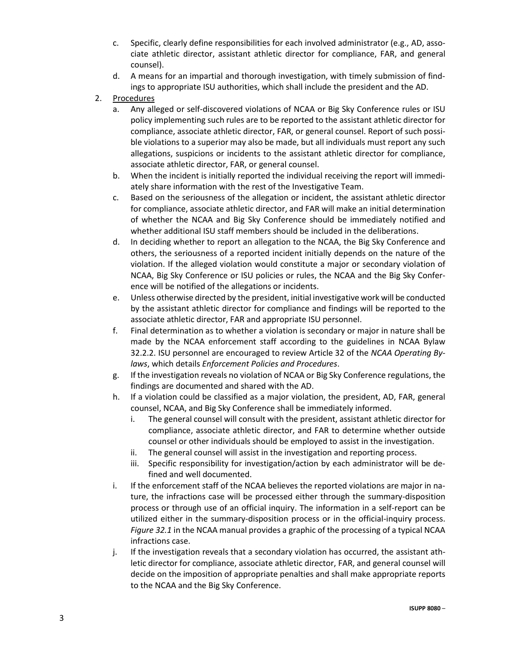- c. Specific, clearly define responsibilities for each involved administrator (e.g., AD, associate athletic director, assistant athletic director for compliance, FAR, and general counsel).
- d. A means for an impartial and thorough investigation, with timely submission of findings to appropriate ISU authorities, which shall include the president and the AD.
- 2. Procedures
	- a. Any alleged or self-discovered violations of NCAA or Big Sky Conference rules or ISU policy implementing such rules are to be reported to the assistant athletic director for compliance, associate athletic director, FAR, or general counsel. Report of such possible violations to a superior may also be made, but all individuals must report any such allegations, suspicions or incidents to the assistant athletic director for compliance, associate athletic director, FAR, or general counsel.
	- b. When the incident is initially reported the individual receiving the report will immediately share information with the rest of the Investigative Team.
	- c. Based on the seriousness of the allegation or incident, the assistant athletic director for compliance, associate athletic director, and FAR will make an initial determination of whether the NCAA and Big Sky Conference should be immediately notified and whether additional ISU staff members should be included in the deliberations.
	- d. In deciding whether to report an allegation to the NCAA, the Big Sky Conference and others, the seriousness of a reported incident initially depends on the nature of the violation. If the alleged violation would constitute a major or secondary violation of NCAA, Big Sky Conference or ISU policies or rules, the NCAA and the Big Sky Conference will be notified of the allegations or incidents.
	- e. Unless otherwise directed by the president, initial investigative work will be conducted by the assistant athletic director for compliance and findings will be reported to the associate athletic director, FAR and appropriate ISU personnel.
	- f. Final determination as to whether a violation is secondary or major in nature shall be made by the NCAA enforcement staff according to the guidelines in NCAA Bylaw 32.2.2. ISU personnel are encouraged to review Article 32 of the *NCAA Operating Bylaws*, which details *Enforcement Policies and Procedures*.
	- g. If the investigation reveals no violation of NCAA or Big Sky Conference regulations, the findings are documented and shared with the AD.
	- h. If a violation could be classified as a major violation, the president, AD, FAR, general counsel, NCAA, and Big Sky Conference shall be immediately informed.
		- i. The general counsel will consult with the president, assistant athletic director for compliance, associate athletic director, and FAR to determine whether outside counsel or other individuals should be employed to assist in the investigation.
		- ii. The general counsel will assist in the investigation and reporting process.
		- iii. Specific responsibility for investigation/action by each administrator will be defined and well documented.
	- i. If the enforcement staff of the NCAA believes the reported violations are major in nature, the infractions case will be processed either through the summary-disposition process or through use of an official inquiry. The information in a self-report can be utilized either in the summary-disposition process or in the official-inquiry process. *Figure 32.1* in the NCAA manual provides a graphic of the processing of a typical NCAA infractions case.
	- j. If the investigation reveals that a secondary violation has occurred, the assistant athletic director for compliance, associate athletic director, FAR, and general counsel will decide on the imposition of appropriate penalties and shall make appropriate reports to the NCAA and the Big Sky Conference.